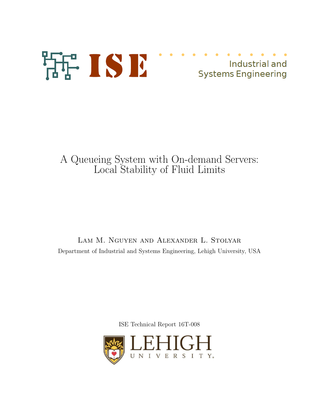

# A Queueing System with On-demand Servers: Local Stability of Fluid Limits

Lam M. Nguyen and Alexander L. Stolyar Department of Industrial and Systems Engineering, Lehigh University, USA

ISE Technical Report 16T-008

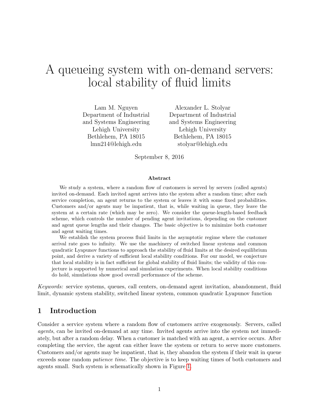# A queueing system with on-demand servers: local stability of fluid limits

Lam M. Nguyen Department of Industrial and Systems Engineering Lehigh University Bethlehem, PA 18015 lmn214@lehigh.edu

Alexander L. Stolyar Department of Industrial and Systems Engineering Lehigh University Bethlehem, PA 18015 stolyar@lehigh.edu

September 8, 2016

#### Abstract

We study a system, where a random flow of customers is served by servers (called agents) invited on-demand. Each invited agent arrives into the system after a random time; after each service completion, an agent returns to the system or leaves it with some fixed probabilities. Customers and/or agents may be impatient, that is, while waiting in queue, they leave the system at a certain rate (which may be zero). We consider the queue-length-based feedback scheme, which controls the number of pending agent invitations, depending on the customer and agent queue lengths and their changes. The basic objective is to minimize both customer and agent waiting times.

We establish the system process fluid limits in the asymptotic regime where the customer arrival rate goes to infinity. We use the machinery of switched linear systems and common quadratic Lyapunov functions to approach the stability of fluid limits at the desired equilibrium point, and derive a variety of sufficient local stability conditions. For our model, we conjecture that local stability is in fact sufficient for global stability of fluid limits; the validity of this conjecture is supported by numerical and simulation experiments. When local stability conditions do hold, simulations show good overall performance of the scheme.

Keywords: service systems, queues, call centers, on-demand agent invitation, abandonment, fluid limit, dynamic system stability, switched linear system, common quadratic Lyapunov function

## 1 Introduction

Consider a service system where a random flow of customers arrive exogenously. Servers, called agents, can be invited on-demand at any time. Invited agents arrive into the system not immediately, but after a random delay. When a customer is matched with an agent, a service occurs. After completing the service, the agent can either leave the system or return to serve more customers. Customers and/or agents may be impatient, that is, they abandon the system if their wait in queue exceeds some random *patience time*. The objective is to keep waiting times of both customers and agents small. Such system is schematically shown in Figure [1.](#page-5-0)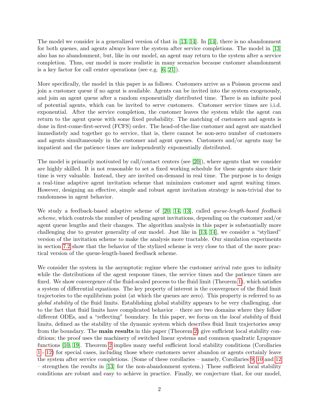The model we consider is a generalized version of that in  $[13, 14]$  $[13, 14]$ . In  $[14]$ , there is no abandonment for both queues, and agents always leave the system after service completions. The model in [\[13\]](#page-21-0) also has no abandonment, but, like in our model, an agent may return to the system after a service completion. Thus, our model is more realistic in many scenarios because customer abandonment is a key factor for call center operations (see e.g. [\[6,](#page-21-2) [21\]](#page-22-0)).

More specifically, the model in this paper is as follows. Customers arrive as a Poisson process and join a customer queue if no agent is available. Agents can be invited into the system exogenously, and join an agent queue after a random exponentially distributed time. There is an infinite pool of potential agents, which can be invited to serve customers. Customer service times are i.i.d. exponential. After the service completion, the customer leaves the system while the agent can return to the agent queue with some fixed probability. The matching of customers and agents is done in first-come-first-served (FCFS) order. The head-of-the-line customer and agent are matched immediately and together go to service, that is, there cannot be non-zero number of customers and agents simultaneously in the customer and agent queues. Customers and/or agents may be impatient and the patience times are independently exponentially distributed.

The model is primarily motivated by call/contact centers (see [\[20\]](#page-22-1)), where agents that we consider are highly skilled. It is not reasonable to set a fixed working schedule for these agents since their time is very valuable. Instead, they are invited on-demand in real time. The purpose is to design a real-time adaptive agent invitation scheme that minimizes customer and agent waiting times. However, designing an effective, simple and robust agent invitation strategy is non-trivial due to randomness in agent behavior.

We study a feedback-based adaptive scheme of [\[20,](#page-22-1) [14,](#page-21-1) [13\]](#page-21-0), called *queue-length-based feedback* scheme, which controls the number of pending agent invitations, depending on the customer and/or agent queue lengths and their changes. The algorithm analysis in this paper is substantially more challenging due to greater generality of our model. Just like in [\[13,](#page-21-0) [14\]](#page-21-1), we consider a "stylized" version of the invitation scheme to make the analysis more tractable. Our simulation experiments in section [7.2](#page-17-0) show that the behavior of the stylized scheme is very close to that of the more practical version of the queue-length-based feedback scheme.

We consider the system in the asymptotic regime where the customer arrival rate goes to infinity while the distributions of the agent response times, the service times and the patience times are fixed. We show convergence of the fluid-scaled process to the fluid limit (Theorem [1\)](#page-7-0), which satisfies a system of differential equations. The key property of interest is the convergence of the fluid limit trajectories to the equilibrium point (at which the queues are zero). This property is referred to as global stability of the fluid limits. Establishing global stability appears to be very challenging, due to the fact that fluid limits have complicated behavior – there are two domains where they follow different ODEs, and a "reflecting" boundary. In this paper, we focus on the *local stability* of fluid limits, defined as the stability of the dynamic system which describes fluid limit trajectories away from the boundary. The main results in this paper (Theorem [2\)](#page-8-0) give sufficient local stability conditions; the proof uses the machinery of switched linear systems and common quadratic Lyapunov functions [\[10,](#page-21-3) [19\]](#page-22-2). Theorem [2](#page-8-0) implies many useful sufficient local stability conditions (Corollaries [1](#page-8-1) - [12\)](#page-9-0) for special cases, including those where customers never abandon or agents certainly leave the system after service completions. (Some of these corollaries – namely, Corollaries [9,](#page-9-1) [10](#page-9-2) and [12](#page-9-0) – strengthen the results in [\[13\]](#page-21-0) for the non-abandonment system.) These sufficient local stability conditions are robust and easy to achieve in practice. Finally, we conjecture that, for our model,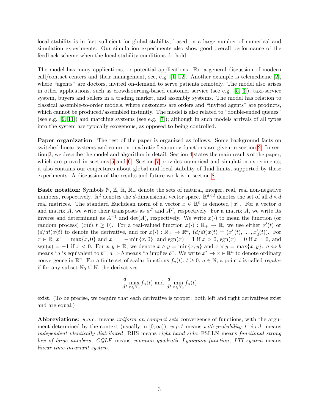local stability is in fact sufficient for global stability, based on a large number of numerical and simulation experiments. Our simulation experiments also show good overall performance of the feedback scheme when the local stability conditions do hold.

The model has many applications, or potential applications. For a general discussion of modern call/contact centers and their management, see, e.g.  $[1, 12]$  $[1, 12]$ . Another example is telemedicine  $[2]$ , where "agents" are doctors, invited on-demand to serve patients remotely. The model also arises in other applications, such as crowdsourcing-based customer service (see e.g. [\[5,](#page-21-7) [3\]](#page-21-8)), taxi-service system, buyers and sellers in a trading market, and assembly systems. The model has relation to classical assemble-to-order models, where customers are orders and "invited agents" are products, which cannot be produced/assembled instantly. The model is also related to "double-ended queues" (see e.g. [\[9,](#page-21-9) [11\]](#page-21-10)) and matching systems (see e.g. [\[7\]](#page-21-11)); although in such models arrivals of all types into the system are typically exogenous, as opposed to being controlled.

Paper organization. The rest of the paper is organized as follows. Some background facts on switched linear systems and common quadratic Lyapunov functions are given in section [2.](#page-4-0) In section [3,](#page-5-1) we describe the model and algorithm in detail. Section [4](#page-6-0) states the main results of the paper, which are proved in sections [5](#page-10-0) and [6.](#page-13-0) Section [7](#page-15-0) provides numerical and simulation experiments; it also contains our conjectures about global and local stability of fluid limits, supported by these experiments. A discussion of the results and future work is in section [8.](#page-20-0)

**Basic notation**: Symbols N,  $\mathbb{Z}$ ,  $\mathbb{R}$ ,  $\mathbb{R}_+$  denote the sets of natural, integer, real, real non-negative numbers, respectively.  $\mathbb{R}^d$  denotes the *d*-dimensional vector space.  $\mathbb{R}^{d \times d}$  denotes the set of all  $d \times d$ real matrices. The standard Euclidean norm of a vector  $x \in \mathbb{R}^n$  is denoted  $||x||$ . For a vector a and matrix A, we write their transposes as  $a^T$  and  $A^T$ , respectively. For a matrix A, we write its inverse and determinant as  $A^{-1}$  and det(A), respectively. We write  $x(\cdot)$  to mean the function (or random process)  $(x(t), t \ge 0)$ . For a real-valued function  $x(\cdot) : \mathbb{R}_+ \to \mathbb{R}$ , we use either  $x'(t)$  or  $(d/dt)x(t)$  to denote the derivative, and for  $x(\cdot): \mathbb{R}_+ \to \mathbb{R}^d$ ,  $(d/dt)x(t) = (x'_1(t), \ldots, x'_d(t))$ . For  $x \in \mathbb{R}, x^+ = \max\{x, 0\}$  and  $x^- = -\min\{x, 0\}$ ; and  $sgn(x) = 1$  if  $x > 0$ ,  $sgn(x) = 0$  if  $x = 0$ , and sgn(x) = −1 if  $x < 0$ . For  $x, y \in \mathbb{R}$ , we denote  $x \wedge y = \min\{x, y\}$  and  $x \vee y = \max\{x, y\}$ .  $a \Leftrightarrow b$ means "a is equivalent to b";  $a \Rightarrow b$  means "a implies b". We write  $x^r \to x \in \mathbb{R}^n$  to denote ordinary convergence in  $\mathbb{R}^n$ . For a finite set of scalar functions  $f_n(t)$ ,  $t \geq 0$ ,  $n \in \mathbb{N}$ , a point t is called *regular* if for any subset  $\mathbb{N}_0 \subseteq \mathbb{N}$ , the derivatives

$$
\frac{d}{dt} \max_{n \in \mathbb{N}_0} f_n(t) \text{ and } \frac{d}{dt} \min_{n \in \mathbb{N}_0} f_n(t)
$$

exist. (To be precise, we require that each derivative is proper: both left and right derivatives exist and are equal.)

Abbreviations: u.o.c. means uniform on compact sets convergence of functions, with the argument determined by the context (usually in  $[0, \infty)$ ); w.p.1 means with probability 1; i.i.d. means independent identically distributed; RHS means right hand side; FSLLN means functional strong law of large numbers; CQLF means common quadratic Lyapunov function; LTI system means linear time-invariant system.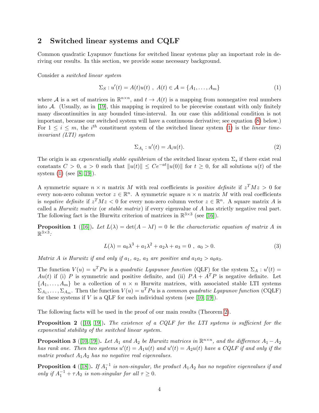# <span id="page-4-0"></span>2 Switched linear systems and CQLF

Common quadratic Lyapunov functions for switched linear systems play an important role in deriving our results. In this section, we provide some necessary background.

Consider a switched linear system

$$
\Sigma_S: u'(t) = A(t)u(t) , A(t) \in \mathcal{A} = \{A_1, \dots, A_m\}
$$
 (1)

where A is a set of matrices in  $\mathbb{R}^{n \times n}$ , and  $t \to A(t)$  is a mapping from nonnegative real numbers into A. (Usually, as in [\[19\]](#page-22-2), this mapping is required to be piecewise constant with only finitely many discontinuities in any bounded time-interval. In our case this additional condition is not important, because our switched system will have a continuous derivative; see equation [\(8\)](#page-7-1) below.) For  $1 \leq i \leq m$ , the i<sup>th</sup> constituent system of the switched linear system [\(1\)](#page-4-1) is the linear timeinvariant (LTI) system

<span id="page-4-1"></span>
$$
\Sigma_{A_i} : u'(t) = A_i u(t). \tag{2}
$$

The origin is an exponentially stable equilibrium of the switched linear system  $\Sigma_s$  if there exist real constants  $C > 0$ ,  $a > 0$  such that  $||u(t)|| \le Ce^{-at}||u(0)||$  for  $t \ge 0$ , for all solutions  $u(t)$  of the system [\(1\)](#page-4-1) (see [\[8,](#page-21-12) [19\]](#page-22-2)).

A symmetric square  $n \times n$  matrix M with real coefficients is *positive definite* if  $z^T M z > 0$  for every non-zero column vector  $z \in \mathbb{R}^n$ . A symmetric square  $n \times n$  matrix M with real coefficients is negative definite if  $z^T M z < 0$  for every non-zero column vector  $z \in \mathbb{R}^n$ . A square matrix A is called a *Hurwitz matrix* (or *stable matrix*) if every eigenvalue of A has strictly negative real part. The following fact is the Hurwitz criterion of matrices in  $\mathbb{R}^{3\times3}$  (see [\[16\]](#page-22-3)).

<span id="page-4-2"></span>**Proposition 1** ([\[16\]](#page-22-3)). Let  $L(\lambda) = \det(A - \lambda I) = 0$  be the characteristic equation of matrix A in  $\mathbb{R}^{3\times 3}$ :

$$
L(\lambda) = a_0 \lambda^3 + a_1 \lambda^2 + a_2 \lambda + a_3 = 0 , a_0 > 0.
$$
 (3)

Matrix A is Hurwitz if and only if  $a_1, a_2, a_3$  are positive and  $a_1a_2 > a_0a_3$ .

The function  $V(u) = u^T P u$  is a quadratic Lyapunov function (QLF) for the system  $\Sigma_A : u'(t) =$  $Au(t)$  if (i) P is symmetric and positive definite, and (ii)  $PA + A^T P$  is negative definite. Let  $\{A_1, \ldots, A_m\}$  be a collection of  $n \times n$  Hurwitz matrices, with associated stable LTI systems  $\Sigma_{A_1}, \ldots, \Sigma_{A_m}$ . Then the function  $V(u) = u^T P u$  is a common quadratic Lyapunov function (CQLF) for these systems if  $V$  is a QLF for each individual system (see [\[10,](#page-21-3) [19\]](#page-22-2)).

The following facts will be used in the proof of our main results (Theorem [2\)](#page-8-0).

**Proposition 2** ([\[10,](#page-21-3) [19\]](#page-22-2)). The existence of a CQLF for the LTI systems is sufficient for the exponential stability of the switched linear system.

<span id="page-4-4"></span>**Proposition 3** ([\[10,](#page-21-3) [19\]](#page-22-2)). Let  $A_1$  and  $A_2$  be Hurwitz matrices in  $\mathbb{R}^{n \times n}$ , and the difference  $A_1 - A_2$ has rank one. Then two systems  $u'(t) = A_1u(t)$  and  $u'(t) = A_2u(t)$  have a CQLF if and only if the matrix product  $A_1A_2$  has no negative real eigenvalues.

<span id="page-4-3"></span>**Proposition 4** ([\[18\]](#page-22-4)). If  $A_1^{-1}$  is non-singular, the product  $A_1A_2$  has no negative eigenvalues if and only if  $A_1^{-1} + \tau A_2$  is non-singular for all  $\tau \geq 0$ .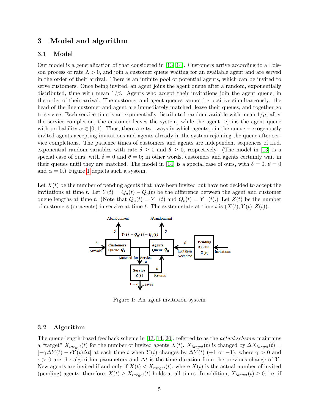# <span id="page-5-1"></span>3 Model and algorithm

### 3.1 Model

Our model is a generalization of that considered in [\[13,](#page-21-0) [14\]](#page-21-1). Customers arrive according to a Poisson process of rate  $\Lambda > 0$ , and join a customer queue waiting for an available agent and are served in the order of their arrival. There is an infinite pool of potential agents, which can be invited to serve customers. Once being invited, an agent joins the agent queue after a random, exponentially distributed, time with mean  $1/\beta$ . Agents who accept their invitations join the agent queue, in the order of their arrival. The customer and agent queues cannot be positive simultaneously: the head-of-the-line customer and agent are immediately matched, leave their queues, and together go to service. Each service time is an exponentially distributed random variable with mean  $1/\mu$ ; after the service completion, the customer leaves the system, while the agent rejoins the agent queue with probability  $\alpha \in [0, 1)$ . Thus, there are two ways in which agents join the queue – exogenously invited agents accepting invitations and agents already in the system rejoining the queue after service completions. The patience times of customers and agents are independent sequences of i.i.d. exponential random variables with rate  $\delta \geq 0$  and  $\theta \geq 0$ , respectively. (The model in [\[13\]](#page-21-0) is a special case of ours, with  $\delta = 0$  and  $\theta = 0$ ; in other words, customers and agents certainly wait in their queues until they are matched. The model in [\[14\]](#page-21-1) is a special case of ours, with  $\delta = 0, \theta = 0$ and  $\alpha = 0$ .) Figure [1](#page-5-0) depicts such a system.

<span id="page-5-0"></span>Let  $X(t)$  be the number of pending agents that have been invited but have not decided to accept the invitations at time t. Let  $Y(t) = Q_a(t) - Q_c(t)$  be the difference between the agent and customer queue lengths at time t. (Note that  $Q_a(t) = Y^+(t)$  and  $Q_c(t) = Y^-(t)$ .) Let  $Z(t)$  be the number of customers (or agents) in service at time t. The system state at time t is  $(X(t), Y(t), Z(t))$ .



Figure 1: An agent invitation system

### 3.2 Algorithm

The queue-length-based feedback scheme in [\[13,](#page-21-0) [14,](#page-21-1) [20\]](#page-22-1), referred to as the *actual scheme*, maintains a "target"  $X_{target}(t)$  for the number of invited agents  $X(t)$ .  $X_{target}(t)$  is changed by  $\Delta X_{target}(t)$  $[-\gamma\Delta Y(t) - \epsilon Y(t)\Delta t]$  at each time t when  $Y(t)$  changes by  $\Delta Y(t)$  (+1 or -1), where  $\gamma > 0$  and  $\epsilon > 0$  are the algorithm parameters and  $\Delta t$  is the time duration from the previous change of Y. New agents are invited if and only if  $X(t) < X_{target}(t)$ , where  $X(t)$  is the actual number of invited (pending) agents; therefore,  $X(t) \geq X_{target}(t)$  holds at all times. In addition,  $X_{target}(t) \geq 0$ ; i.e. if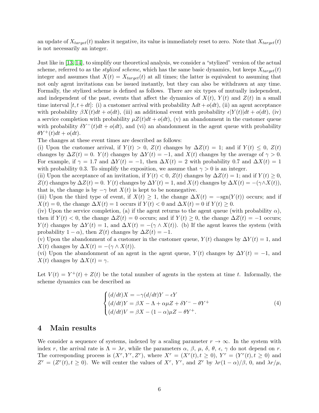an update of  $X_{target}(t)$  makes it negative, its value is immediately reset to zero. Note that  $X_{target}(t)$ is not necessarily an integer.

Just like in [\[13,](#page-21-0) [14\]](#page-21-1), to simplify our theoretical analysis, we consider a "stylized" version of the actual scheme, referred to as the *stylized scheme*, which has the same basic dynamics, but keeps  $X_{target}(t)$ integer and assumes that  $X(t) = X_{target}(t)$  at all times; the latter is equivalent to assuming that not only agent invitations can be issued instantly, but they can also be withdrawn at any time. Formally, the stylized scheme is defined as follows. There are six types of mutually independent, and independent of the past, events that affect the dynamics of  $X(t)$ ,  $Y(t)$  and  $Z(t)$  in a small time interval  $[t, t+dt]$ : (i) a customer arrival with probability  $\Lambda dt + o(dt)$ , (ii) an agent acceptance with probability  $\beta X(t)dt + o(dt)$ , (iii) an additional event with probability  $\epsilon|Y(t)|dt + o(dt)$ , (iv) a service completion with probability  $\mu Z(t)dt + o(dt)$ , (v) an abandonment in the customer queue with probability  $\delta Y^{-}(t)dt + o(dt)$ , and (vi) an abandonment in the agent queue with probability  $\theta Y^+(t)dt + o(dt).$ 

The changes at these event times are described as follows:

(i) Upon the customer arrival, if  $Y(t) > 0$ ,  $Z(t)$  changes by  $\Delta Z(t) = 1$ ; and if  $Y(t) \leq 0$ ,  $Z(t)$ changes by  $\Delta Z(t) = 0$ .  $Y(t)$  changes by  $\Delta Y(t) = -1$ , and  $X(t)$  changes by the average of  $\gamma > 0$ . For example, if  $\gamma = 1.7$  and  $\Delta Y(t) = -1$ , then  $\Delta X(t) = 2$  with probability 0.7 and  $\Delta X(t) = 1$ with probability 0.3. To simplify the exposition, we assume that  $\gamma > 0$  is an integer.

(ii) Upon the acceptance of an invitation, if  $Y(t) < 0$ ,  $Z(t)$  changes by  $\Delta Z(t) = 1$ ; and if  $Y(t) \geq 0$ ,  $Z(t)$  changes by  $\Delta Z(t) = 0$ .  $Y(t)$  changes by  $\Delta Y(t) = 1$ , and  $X(t)$  changes by  $\Delta X(t) = -(\gamma \wedge X(t))$ , that is, the change is by  $-\gamma$  but  $X(t)$  is kept to be nonnegative.

(iii) Upon the third type of event, if  $X(t) \geq 1$ , the change  $\Delta X(t) = -sgn(Y(t))$  occurs; and if  $X(t) = 0$ , the change  $\Delta X(t) = 1$  occurs if  $Y(t) < 0$  and  $\Delta X(t) = 0$  if  $Y(t) \geq 0$ .

(iv) Upon the service completion, (a) if the agent returns to the agent queue (with probability  $\alpha$ ), then if  $Y(t) < 0$ , the change  $\Delta Z(t) = 0$  occurs; and if  $Y(t) \geq 0$ , the change  $\Delta Z(t) = -1$  occurs;  $Y(t)$  changes by  $\Delta Y(t) = 1$ , and  $\Delta X(t) = -(\gamma \wedge X(t))$ . (b) If the agent leaves the system (with probability  $1 - \alpha$ ), then  $Z(t)$  changes by  $\Delta Z(t) = -1$ .

(v) Upon the abandonment of a customer in the customer queue,  $Y(t)$  changes by  $\Delta Y(t) = 1$ , and  $X(t)$  changes by  $\Delta X(t) = -(\gamma \wedge X(t)).$ 

(vi) Upon the abandonment of an agent in the agent queue,  $Y(t)$  changes by  $\Delta Y(t) = -1$ , and  $X(t)$  changes by  $\Delta X(t) = \gamma$ .

Let  $V(t) = Y^+(t) + Z(t)$  be the total number of agents in the system at time t. Informally, the scheme dynamics can be described as

$$
\begin{cases}\n(d/dt)X = -\gamma(d/dt)Y - \epsilon Y \\
(d/dt)Y = \beta X - \Lambda + \alpha \mu Z + \delta Y^- - \theta Y^+ \\
(d/dt)V = \beta X - (1 - \alpha)\mu Z - \theta Y^+.\n\end{cases}
$$
\n(4)

## <span id="page-6-0"></span>4 Main results

We consider a sequence of systems, indexed by a scaling parameter  $r \to \infty$ . In the system with index r, the arrival rate is  $\Lambda = \lambda r$ , while the parameters  $\alpha$ ,  $\beta$ ,  $\mu$ ,  $\delta$ ,  $\theta$ ,  $\epsilon$ ,  $\gamma$  do not depend on r. The corresponding process is  $(X^r, Y^r, Z^r)$ , where  $X^r = (X^r(t), t \ge 0), Y^r = (Y^r(t), t \ge 0)$  and  $Z^r = (Z^r(t), t \ge 0)$ . We will center the values of  $X^r$ ,  $Y^r$ , and  $Z^r$  by  $\lambda r(1-\alpha)/\beta$ , 0, and  $\lambda r/\mu$ ,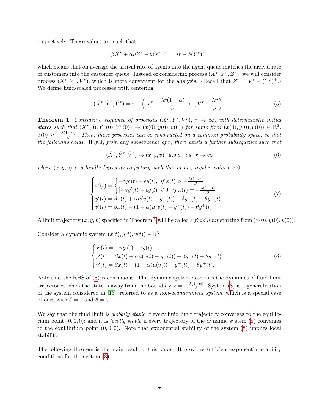respectively. These values are such that

<span id="page-7-2"></span>
$$
\beta X^r + \alpha \mu Z^r - \theta (Y^r)^+ = \lambda r - \delta (Y^r)^-,
$$

which means that on average the arrival rate of agents into the agent queue matches the arrival rate of customers into the customer queue. Instead of considering process  $(X^r, Y^r, Z^r)$ , we will consider process  $(X^r, Y^r, V^r)$ , which is more convenient for the analysis. (Recall that  $Z^r = V^r - (Y^r)^+$ .) We define fluid-scaled processes with centering

$$
(\bar{X}^r, \bar{Y}^r, \bar{V}^r) = r^{-1} \left( X^r - \frac{\lambda r (1 - \alpha)}{\beta}, Y^r, V^r - \frac{\lambda r}{\mu} \right).
$$
 (5)

<span id="page-7-0"></span>**Theorem 1.** Consider a sequence of processes  $(\bar{X}^r, \bar{Y}^r, \bar{V}^r)$ ,  $r \to \infty$ , with deterministic initial states such that  $(\bar{X}^r(0), \bar{Y}^r(0), \bar{V}^r(0)) \to (x(0), y(0), v(0))$  for some fixed  $(x(0), y(0), v(0)) \in \mathbb{R}^3$ ,  $x(0) \geq -\frac{\lambda(1-\alpha)}{\beta}$ . Then, these processes can be constructed on a common probability space, so that the following holds. W.p.1, from any subsequence of  $r$ , there exists a further subsequence such that

<span id="page-7-3"></span>
$$
(\bar{X}^r, \bar{Y}^r, \bar{V}^r) \to (x, y, v) \quad u.o.c. \quad as \quad r \to \infty \tag{6}
$$

where  $(x, y, v)$  is a locally Lipschitz trajectory such that at any regular point  $t > 0$ 

$$
\begin{cases}\nx'(t) = \begin{cases}\n-\gamma y'(t) - \epsilon y(t), & \text{if } x(t) > -\frac{\lambda(1-\alpha)}{\beta} \\
[-\gamma y'(t) - \epsilon y(t)] \vee 0, & \text{if } x(t) = -\frac{\lambda(1-\alpha)}{\beta}\n\end{cases} \\
y'(t) = \beta x(t) + \alpha \mu (v(t) - y^+(t)) + \delta y^-(t) - \theta y^+(t) \\
v'(t) = \beta x(t) - (1-\alpha)\mu (v(t) - y^+(t)) - \theta y^+(t).\n\end{cases} (7)
$$

A limit trajectory  $(x, y, v)$  specified in Theorem [1](#page-7-0) will be called a *fluid limit* starting from  $(x(0), y(0), v(0))$ .

Consider a dynamic system  $(x(t), y(t), v(t)) \in \mathbb{R}^3$ :

<span id="page-7-1"></span>
$$
\begin{cases}\nx'(t) = -\gamma y'(t) - \epsilon y(t) \\
y'(t) = \beta x(t) + \alpha \mu (v(t) - y^+(t)) + \delta y^-(t) - \theta y^+(t) \\
v'(t) = \beta x(t) - (1 - \alpha) \mu (v(t) - y^+(t)) - \theta y^+(t).\n\end{cases}
$$
\n(8)

Note that the RHS of [\(8\)](#page-7-1) is continuous. This dynamic system describes the dynamics of fluid limit trajectories when the state is away from the boundary  $x = -\frac{\lambda(1-\alpha)}{3}$  $\frac{(-\alpha)}{\beta}$ . System [\(8\)](#page-7-1) is a generalization of the system considered in [\[13\]](#page-21-0), referred to as a *non-abandonment system*, which is a special case of ours with  $\delta = 0$  and  $\theta = 0$ .

We say that the fluid limit is *globally stable* if every fluid limit trajectory converges to the equilibrium point  $(0, 0, 0)$ ; and it is *locally stable* if every trajectory of the dynamic system  $(8)$  converges to the equilibrium point  $(0, 0, 0)$ . Note that exponential stability of the system  $(8)$  implies local stability.

The following theorem is the main result of this paper. It provides sufficient exponential stability conditions for the system [\(8\)](#page-7-1).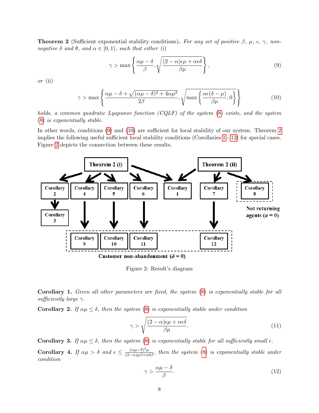<span id="page-8-0"></span>**Theorem 2** (Sufficient exponential stability conditions). For any set of positive  $\beta$ ,  $\mu$ ,  $\epsilon$ ,  $\gamma$ , nonnegative  $\delta$  and  $\theta$ , and  $\alpha \in [0,1)$ , such that either (i)

<span id="page-8-3"></span><span id="page-8-2"></span>
$$
\gamma > \max \left\{ \frac{\alpha \mu - \delta}{\beta}, \sqrt{\frac{(2 - \alpha)\epsilon \mu + \alpha \epsilon \delta}{\beta \mu}} \right\},\tag{9}
$$

or (ii)

$$
\gamma > \max \left\{ \frac{\alpha \mu - \delta + \sqrt{(\alpha \mu - \delta)^2 + 4\alpha \mu^2}}{2\beta}, \sqrt{\max \left\{ \frac{\alpha \epsilon (\delta - \mu)}{\beta \mu}, 0 \right\}} \right\}
$$
(10)

holds, a common quadratic Lyapunov function (CQLF) of the system [\(8\)](#page-7-1) exists, and the system [\(8\)](#page-7-1) is exponentially stable.

In other words, conditions [\(9\)](#page-8-2) and [\(10\)](#page-8-3) are sufficient for local stability of our system. Theorem [2](#page-8-0) implies the following useful sufficient local stability conditions (Corollaries [1](#page-8-1) - [12\)](#page-9-0) for special cases. Figure [2](#page-8-4) depicts the connection between these results.

<span id="page-8-4"></span>

Figure 2: Result's diagram

<span id="page-8-1"></span>Corollary 1. Given all other parameters are fixed, the system [\(8\)](#page-7-1) is exponentially stable for all sufficiently large  $\gamma$ .

Corollary 2. If  $\alpha\mu \leq \delta$ , then the system [\(8\)](#page-7-1) is exponentially stable under condition

$$
\gamma > \sqrt{\frac{(2-\alpha)\epsilon\mu + \alpha\epsilon\delta}{\beta\mu}}.\tag{11}
$$

Corollary 3. If  $\alpha\mu \leq \delta$ , then the system [\(8\)](#page-7-1) is exponentially stable for all sufficiently small  $\epsilon$ .

<span id="page-8-5"></span>Corollary 4. If  $\alpha\mu > \delta$  and  $\epsilon \leq \frac{(\alpha\mu - \delta)^2 \mu}{(2-\alpha)\mu\beta + \alpha\delta\beta}$ , then the system [\(8\)](#page-7-1) is exponentially stable under condition

$$
\gamma > \frac{\alpha \mu - \delta}{\beta}.\tag{12}
$$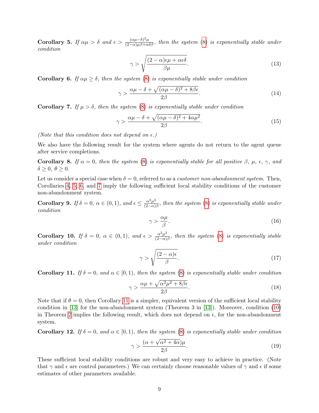<span id="page-9-3"></span>Corollary 5. If  $\alpha\mu > \delta$  and  $\epsilon > \frac{(\alpha\mu - \delta)^2 \mu}{(2-\alpha)\mu\beta + \alpha\delta\beta}$ , then the system [\(8\)](#page-7-1) is exponentially stable under condition

$$
\gamma > \sqrt{\frac{(2-\alpha)\epsilon\mu + \alpha\epsilon\delta}{\beta\mu}}.\tag{13}
$$

<span id="page-9-4"></span>**Corollary 6.** If  $\alpha\mu \geq \delta$ , then the system [\(8\)](#page-7-1) is exponentially stable under condition

$$
\gamma > \frac{\alpha \mu - \delta + \sqrt{(\alpha \mu - \delta)^2 + 8\beta \epsilon}}{2\beta}.
$$
\n(14)

<span id="page-9-5"></span>Corollary 7. If  $\mu > \delta$ , then the system [\(8\)](#page-7-1) is exponentially stable under condition

$$
\gamma > \frac{\alpha \mu - \delta + \sqrt{(\alpha \mu - \delta)^2 + 4\alpha \mu^2}}{2\beta}.
$$
\n(15)

(Note that this condition does not depend on  $\epsilon$ .)

We also have the following result for the system where agents do not return to the agent queue after service completions.

Corollary 8. If  $\alpha = 0$ , then the system [\(8\)](#page-7-1) is exponentially stable for all positive  $\beta$ ,  $\mu$ ,  $\epsilon$ ,  $\gamma$ , and  $\delta \geq 0, \ \theta \geq 0.$ 

Let us consider a special case when  $\delta = 0$ , referred to as a *customer non-abandonment system*. Then, Corollaries [4,](#page-8-5) [5,](#page-9-3) [6,](#page-9-4) and [7](#page-9-5) imply the following sufficient local stability conditions of the customer non-abandonment system.

<span id="page-9-1"></span>**Corollary 9.** If  $\delta = 0$ ,  $\alpha \in (0, 1)$ , and  $\epsilon \leq \frac{\alpha^2 \mu^2}{(2-\alpha)^2}$  $\frac{\alpha^2 \mu^2}{(2-\alpha)\beta}$ , then the system [\(8\)](#page-7-1) is exponentially stable under condition

$$
\gamma > \frac{\alpha \mu}{\beta}.\tag{16}
$$

<span id="page-9-2"></span>**Corollary 10.** If  $\delta = 0$ ,  $\alpha \in (0,1)$ , and  $\epsilon > \frac{\alpha^2 \mu^2}{(2-\alpha)^2}$  $\frac{\alpha^2 \mu^2}{(2-\alpha)\beta}$ , then the system [\(8\)](#page-7-1) is exponentially stable under condition

$$
\gamma > \sqrt{\frac{(2-\alpha)\epsilon}{\beta}}.\tag{17}
$$

<span id="page-9-6"></span>**Corollary 11.** If  $\delta = 0$ , and  $\alpha \in [0, 1)$ , then the system [\(8\)](#page-7-1) is exponentially stable under condition

$$
\gamma > \frac{\alpha \mu + \sqrt{\alpha^2 \mu^2 + 8\beta \epsilon}}{2\beta}.
$$
\n(18)

Note that if  $\theta = 0$ , then Corollary [11](#page-9-6) is a simpler, equivalent version of the sufficient local stability condition in [\[13\]](#page-21-0) for the non-abandonment system (Theorem 3 in [\[13\]](#page-21-0)). Moreover, condition [\(10\)](#page-8-3) in Theorem [2](#page-8-0) implies the following result, which does not depend on  $\epsilon$ , for the non-abandonment system.

<span id="page-9-0"></span>**Corollary 12.** If  $\delta = 0$ , and  $\alpha \in [0, 1)$ , then the system [\(8\)](#page-7-1) is exponentially stable under condition

$$
\gamma > \frac{(\alpha + \sqrt{\alpha^2 + 4\alpha})\mu}{2\beta}.
$$
\n(19)

These sufficient local stability conditions are robust and very easy to achieve in practice. (Note that  $\gamma$  and  $\epsilon$  are control parameters.) We can certainly choose reasonable values of  $\gamma$  and  $\epsilon$  if some estimates of other parameters available.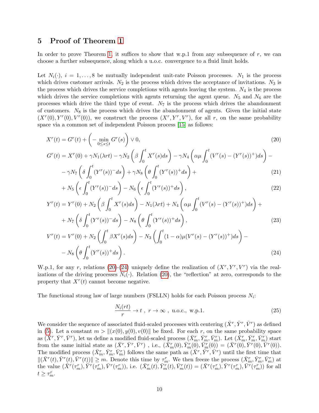# <span id="page-10-0"></span>5 Proof of Theorem [1](#page-7-0)

In order to prove Theorem [1,](#page-7-0) it suffices to show that w.p.1 from any subsequence of  $r$ , we can choose a further subsequence, along which a u.o.c. convergence to a fluid limit holds.

Let  $N_i(\cdot)$ ,  $i = 1, \ldots, 8$  be mutually independent unit-rate Poisson processes.  $N_1$  is the process which drives customer arrivals.  $N_2$  is the process which drives the acceptance of invitations.  $N_3$  is the process which drives the service completions with agents leaving the system.  $N_4$  is the process which drives the service completions with agents returning the agent queue.  $N_5$  and  $N_6$  are the processes which drive the third type of event.  $N<sub>7</sub>$  is the process which drives the abandonment of customers.  $N_8$  is the process which drives the abandonment of agents. Given the initial state  $(X<sup>r</sup>(0), Y<sup>r</sup>(0), V<sup>r</sup>(0)),$  we construct the process  $(X<sup>r</sup>, Y<sup>r</sup>, V<sup>r</sup>),$  for all r, on the same probability space via a common set of independent Poisson process [\[15\]](#page-22-5) as follows:

$$
X^{r}(t) = G^{r}(t) + \left(-\min_{0 \le s \le t} G^{r}(s)\right) \vee 0,
$$
\n
$$
(20)
$$

$$
G^{r}(t) = X^{r}(0) + \gamma N_{1}(\lambda rt) - \gamma N_{2} \left( \beta \int_{0}^{t} X^{r}(s) ds \right) - \gamma N_{4} \left( \alpha \mu \int_{0}^{t} (V^{r}(s) - (Y^{r}(s))^{+}) ds \right) - \gamma N_{7} \left( \delta \int_{0}^{t} (Y^{r}(s))^{-} ds \right) + \gamma N_{8} \left( \theta \int_{0}^{t} (Y^{r}(s))^{+} ds \right) + \tag{21}
$$

<span id="page-10-1"></span>
$$
+ N_5 \left( \epsilon \int_0^t (Y^r(s))^{\bar{\theta}} ds \right) - N_6 \left( \epsilon \int_0^t (Y^r(s))^{\bar{\theta}} ds \right), \tag{22}
$$

$$
Y^{r}(t) = Y^{r}(0) + N_{2} \left( \beta \int_{0}^{t} X^{r}(s) ds \right) - N_{1}(\lambda r t) + N_{4} \left( \alpha \mu \int_{0}^{t} (V^{r}(s) - (Y^{r}(s))^{+}) ds \right) + N_{7} \left( \delta \int_{0}^{t} (Y^{r}(s))^{-} ds \right) - N_{8} \left( \theta \int_{0}^{t} (Y^{r}(s))^{+} ds \right), \tag{23}
$$

$$
V^{r}(t) = V^{r}(0) + N_{2} \left( \int_{0}^{t} \beta X^{r}(s) ds \right) - N_{3} \left( \int_{0}^{t} (1 - \alpha) \mu (V^{r}(s) - (Y^{r}(s))^{+}) ds \right) - N_{8} \left( \theta \int_{0}^{t} (Y^{r}(s))^{+} ds \right).
$$
\n(24)

W.p.1, for any r, relations [\(20\)](#page-10-1)-[\(24\)](#page-10-2) uniquely define the realization of  $(X^r, Y^r, V^r)$  via the realizations of the driving processes  $N_i(\cdot)$ . Relation [\(20\)](#page-10-1), the "reflection" at zero, corresponds to the property that  $X<sup>r</sup>(t)$  cannot become negative.

The functional strong law of large numbers (FSLLN) holds for each Poisson process  $N_i$ :

<span id="page-10-3"></span><span id="page-10-2"></span>
$$
\frac{N_i(rt)}{r} \to t \ , \ r \to \infty \ , \ u.o.c., \ w.p.1. \tag{25}
$$

We consider the sequence of associated fluid-scaled processes with centering  $(\bar{X}^r, \bar{Y}^r, \bar{V}^r)$  as defined in [\(5\)](#page-7-2). Let a constant  $m > ||(x(0), y(0), v(0)||)$  be fixed. For each r, on the same probability space as  $(\bar{X}^r, \bar{Y}^r, \bar{V}^r)$ , let us define a modified fluid-scaled process  $(\bar{X}^r_m, \bar{Y}^r_m, \bar{V}^r_m)$ . Let  $(\bar{X}^r_m, \bar{Y}^r_m, \bar{V}^r_m)$  start from the same initial state as  $(\bar{X}^r, \bar{Y}^r, \bar{V}^r)$ , i.e.,  $(\bar{X}^r_m(0), \bar{Y}^r_m(0), \bar{V}^r_m(0)) = (\bar{X}^r(0), \bar{Y}^r(0), \bar{V}^r(0)).$ The modified process  $(\bar{X}_m^r, \bar{Y}_m^r, \bar{V}_m^r)$  follows the same path as  $(\bar{X}^r, \bar{Y}^r, \bar{V}^r)$  until the first time that  $\|(\bar{X}^r(t), \bar{Y}^r(t), \bar{V}^r(t))\| \geq m$ . Denote this time by  $\tau_m^r$ . We then freeze the process  $(\bar{X}_m^r, \bar{Y}_m^r, \bar{V}_m^r)$  at the value  $(\tilde{X}^r(\tau_m^r), \tilde{Y}^r(\tau_m^r), \bar{V}^r(\tau_m^r)),$  i.e.  $(\bar{X}_m^r(t), \bar{Y}_m^r(t), \bar{V}_m^r(t)) = (\bar{X}^r(\tau_m^r), \bar{Y}^r(\tau_m^r), \bar{V}^r(\tau_m^r))$  for all  $t \geq \tau_m^r$ .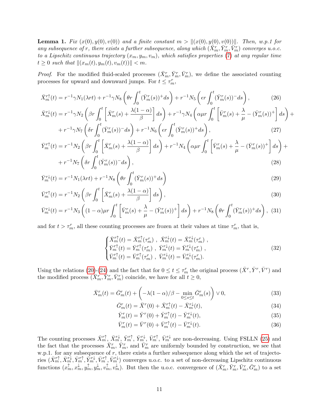**Lemma 1.** Fix  $(x(0), y(0), v(0))$  and a finite constant  $m > ||(x(0), y(0), v(0))||$ . Then, w.p.1 for any subsequence of r, there exists a further subsequence, along which  $(\bar{X}_m^r, \bar{Y}_m^r, \bar{V}_m^r)$  converges u.o.c. to a Lipschitz continuous trajectory  $(x_m, y_m, v_m)$ , which satisfies properties [\(7\)](#page-7-3) at any regular time  $t \geq 0$  such that  $\|(x_m(t), y_m(t), v_m(t))\| < m$ .

*Proof.* For the modified fluid-scaled processes  $(\bar{X}_m^r, \bar{Y}_m^r, \bar{V}_m^r)$ , we define the associated counting processes for upward and downward jumps. For  $t \leq \tau_m^r$ ,

$$
\bar{X}_m^{r\uparrow}(t) = r^{-1}\gamma N_1(\lambda rt) + r^{-1}\gamma N_8 \left(\theta r \int_0^t (\bar{Y}_m^r(s))^+ ds\right) + r^{-1}N_5 \left(\epsilon r \int_0^t (\bar{Y}_m^r(s))^- ds\right),\tag{26}
$$

$$
\bar{X}_{m}^{r\downarrow}(t) = r^{-1}\gamma N_{2} \left(\beta r \int_{0}^{t} \left[ \bar{X}_{m}^{r}(s) + \frac{\lambda(1-\alpha)}{\beta} \right] ds \right) + r^{-1}\gamma N_{4} \left(\alpha \mu r \int_{0}^{t} \left[ \bar{V}_{m}^{r}(s) + \frac{\lambda}{\mu} - (\bar{Y}_{m}^{r}(s))^{+} \right] ds \right) + r^{-1}\gamma N_{7} \left(\delta r \int_{0}^{t} (\bar{Y}_{m}^{r}(s))^{-} ds \right) + r^{-1}N_{6} \left(\epsilon r \int_{0}^{t} (\bar{Y}_{m}^{r}(s))^{+} ds \right), \tag{27}
$$

$$
\bar{Y}_m^{\tau^+}(t) = r^{-1} N_2 \left( \beta r \int_0^t \left[ \bar{X}_m^r(s) + \frac{\lambda(1-\alpha)}{\beta} \right] ds \right) + r^{-1} N_4 \left( \alpha \mu r \int_0^t \left[ \bar{V}_m^r(s) + \frac{\lambda}{\mu} - (\bar{Y}_m^r(s))^+ \right] ds \right) + r^{-1} N_7 \left( \delta r \int_0^t (\bar{Y}_m^r(s))^{-} ds \right),
$$
\n(28)

$$
\bar{Y}_m^{r\downarrow}(t) = r^{-1} N_1(\lambda r t) + r^{-1} N_8 \left( \theta r \int_0^t (\bar{Y}_m^r(s))^+ ds \right)
$$
\n(29)

$$
\bar{V}_m^{r\uparrow}(t) = r^{-1} N_2 \left( \beta r \int_0^t \left[ \bar{X}_m^r(s) + \frac{\lambda(1-\alpha)}{\beta} \right] ds \right),\tag{30}
$$

$$
\bar{V}_m^{r\downarrow}(t) = r^{-1} N_3 \left( (1 - \alpha) \mu r \int_0^t \left[ \bar{V}_m^r(s) + \frac{\lambda}{\mu} - (\bar{Y}_m^r(s))^+ \right] ds \right) + r^{-1} N_8 \left( \theta r \int_0^t (\bar{Y}_m^r(s))^+ ds \right), (31)
$$

and for  $t > \tau_m^r$ , all these counting processes are frozen at their values at time  $\tau_m^r$ , that is,

$$
\begin{cases}\n\bar{X}_{m}^{r\uparrow}(t) = \bar{X}_{m}^{r\uparrow}(\tau_{m}^{r}), \ \bar{X}_{m}^{r\downarrow}(t) = \bar{X}_{m}^{r\downarrow}(\tau_{m}^{r}), \\
\bar{Y}_{m}^{r\uparrow}(t) = \bar{Y}_{m}^{r\uparrow}(\tau_{m}^{r}), \ \bar{Y}_{m}^{r\downarrow}(t) = \bar{Y}_{m}^{r\downarrow}(\tau_{m}^{r}), \\
\bar{V}_{m}^{r\uparrow}(t) = \bar{V}_{m}^{r\uparrow}(\tau_{m}^{r}), \ \bar{V}_{m}^{r\downarrow}(t) = \bar{V}_{m}^{r\downarrow}(\tau_{m}^{r}).\n\end{cases} \tag{32}
$$

Using the relations [\(20\)](#page-10-1)-[\(24\)](#page-10-2) and the fact that for  $0 \le t \le \tau_m^r$  the original process  $(\bar{X}^r, \bar{Y}^r, \bar{V}^r)$  and the modified process  $(\bar{X}_m^r, \bar{Y}_m^r, \bar{V}_m^r)$  coincide, we have for all  $t \geq 0$ ,

$$
\bar{X}_m^r(t) = \bar{G}_m^r(t) + \left( -\lambda (1 - \alpha) / \beta - \min_{0 \le s \le t} \bar{G}_m^r(s) \right) \vee 0,\tag{33}
$$

$$
\bar{G}_m^r(t) = \bar{X}^r(0) + \bar{X}_m^{r\uparrow}(t) - \bar{X}_m^{r\downarrow}(t),\tag{34}
$$

$$
\bar{Y}_m^r(t) = \bar{Y}^r(0) + \bar{Y}_m^{r\dagger}(t) - \bar{Y}_m^{r\downarrow}(t),\tag{35}
$$

$$
\bar{V}_m^r(t) = \bar{V}^r(0) + \bar{V}_m^{r\dagger}(t) - \bar{V}_m^{r\dagger}(t). \tag{36}
$$

The counting processes  $\bar{X}_m^{r\uparrow}$ ,  $\bar{X}_m^{r\downarrow}$ ,  $\bar{Y}_m^{r\uparrow}$ ,  $\bar{Y}_m^{r\downarrow}$ ,  $\bar{V}_m^{r\uparrow}$ ,  $\bar{V}_m^{r\downarrow}$  are non-decreasing. Using FSLLN [\(25\)](#page-10-3) and the fact that the processes  $\bar{X}_m^r$ ,  $\bar{Y}_m^r$ , and  $\bar{V}_m^r$  are uniformly bounded by construction, we see that w.p.1. for any subsequence of  $r$ , there exists a further subsequence along which the set of trajectories  $(\bar{X}_m^{\tau \uparrow}, \bar{X}_m^{\tau \downarrow}, \bar{Y}_m^{\tau \uparrow}, \bar{V}_m^{\tau \uparrow}, \bar{V}_m^{\tau \downarrow})$  converges u.o.c. to a set of non-decreasing Lipschitz continuous functions  $(x_m^{\uparrow}, x_m^{\downarrow}, y_m^{\uparrow}, y_m^{\uparrow}, v_m^{\downarrow})$ . But then the u.o.c. convergence of  $(\bar{X}_m^r, \bar{Y}_m^r, \bar{V}_m^r, \bar{G}_m^r)$  to a set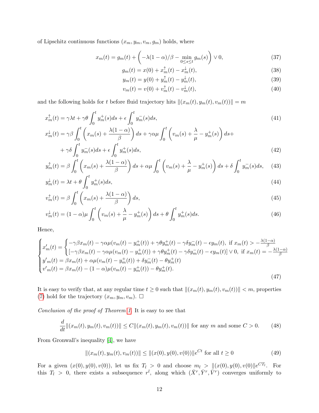of Lipschitz continuous functions  $(x_m, y_m, v_m, g_m)$  holds, where

$$
x_m(t) = g_m(t) + \left( -\lambda (1 - \alpha) / \beta - \min_{0 \le s \le t} g_m(s) \right) \vee 0, \tag{37}
$$

$$
g_m(t) = x(0) + x_m^{\uparrow}(t) - x_m^{\downarrow}(t),
$$
\n(38)

$$
y_m(t) = y(0) + y_m^{\dagger}(t) - y_m^{\dagger}(t),
$$
\n(39)

$$
v_m(t) = v(0) + v_m^{\dagger}(t) - v_m^{\dagger}(t),
$$
\n(40)

and the following holds for t before fluid trajectory hits  $\|(x_m(t), y_m(t), v_m(t))\| = m$ 

$$
x_m^{\uparrow}(t) = \gamma \lambda t + \gamma \theta \int_0^t y_m^+(s)ds + \epsilon \int_0^t y_m^-(s)ds,
$$
\n(41)

$$
x_m^{\downarrow}(t) = \gamma \beta \int_0^t \left( x_m(s) + \frac{\lambda(1-\alpha)}{\beta} \right) ds + \gamma \alpha \mu \int_0^t \left( v_m(s) + \frac{\lambda}{\mu} - y_m^+(s) \right) ds + + \gamma \delta \int_0^t y_m^-(s) ds + \epsilon \int_0^t y_m^+(s) ds,
$$
\n(42)

$$
y_m^{\uparrow}(t) = \beta \int_0^t \left( x_m(s) + \frac{\lambda(1-\alpha)}{\beta} \right) ds + \alpha \mu \int_0^t \left( v_m(s) + \frac{\lambda}{\mu} - y_m^+(s) \right) ds + \delta \int_0^t y_m^-(s) ds, \quad (43)
$$

$$
y_m^{\downarrow}(t) = \lambda t + \theta \int_0^t y_m^+(s)ds,\tag{44}
$$

$$
v_m^{\uparrow}(t) = \beta \int_0^t \left( x_m(s) + \frac{\lambda(1-\alpha)}{\beta} \right) ds,\tag{45}
$$

$$
v_m^{\downarrow}(t) = (1 - \alpha)\mu \int_0^t \left( v_m(s) + \frac{\lambda}{\mu} - y_m^+(s) \right) ds + \theta \int_0^t y_m^+(s) ds. \tag{46}
$$

Hence,

$$
\begin{cases}\nx'_{m}(t) = \begin{cases}\n-\gamma \beta x_{m}(t) - \gamma \alpha \mu (v_{m}(t) - y_{m}^{+}(t)) + \gamma \theta y_{m}^{+}(t) - \gamma \delta y_{m}^{-}(t) - \epsilon y_{m}(t), & \text{if } x_{m}(t) > -\frac{\lambda(1-\alpha)}{\beta} \\
[-\gamma \beta x_{m}(t) - \gamma \alpha \mu (v_{m}(t) - y_{m}^{+}(t)) + \gamma \theta y_{m}^{+}(t) - \gamma \delta y_{m}^{-}(t) - \epsilon y_{m}(t)] \vee 0, & \text{if } x_{m}(t) = -\frac{\lambda(1-\alpha)}{\beta}\n\end{cases} \\
y'_{m}(t) = \beta x_{m}(t) + \alpha \mu (v_{m}(t) - y_{m}^{+}(t)) + \delta y_{m}^{-}(t) - \theta y_{m}^{+}(t) \\
v'_{m}(t) = \beta x_{m}(t) - (1-\alpha) \mu (v_{m}(t) - y_{m}^{+}(t)) - \theta y_{m}^{+}(t).\n\end{cases}
$$
\n(47)

It is easy to verify that, at any regular time  $t \geq 0$  such that  $\|(x_m(t), y_m(t), v_m(t))\| < m$ , properties [\(7\)](#page-7-3) hold for the trajectory  $(x_m, y_m, v_m)$ .  $\Box$ 

Conclusion of the proof of Theorem [1](#page-7-0). It is easy to see that

$$
\frac{d}{dt}||(x_m(t), y_m(t), v_m(t))|| \le C||(x_m(t), y_m(t), v_m(t))||
$$
 for any  $m$  and some  $C > 0$ . (48)

From Gronwall's inequality [\[4\]](#page-21-13), we have

$$
||(x_m(t), y_m(t), v_m(t))|| \le ||(x(0), y(0), v(0))||e^{Ct} \text{ for all } t \ge 0
$$
\n(49)

For a given  $(x(0), y(0), v(0))$ , let us fix  $T_l > 0$  and choose  $m_l > ||(x(0), y(0), v(0)||e^{CT_l}$ . For this  $T_l > 0$ , there exists a subsequence  $r^l$ , along which  $(\bar{X}^r, \bar{Y}^r, \bar{V}^r)$  converges uniformly to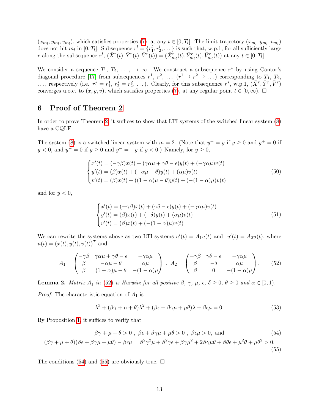$(x_{m_l}, y_{m_l}, v_{m_l})$ , which satisfies properties [\(7\)](#page-7-3), at any  $t \in [0, T_l]$ . The limit trajectory  $(x_{m_l}, y_{m_l}, v_{m_l})$ does not hit  $m_l$  in  $[0, T_l]$ . Subsequence  $r^l = \{r_1^l, r_2^l, \dots\}$  is such that, w.p.1, for all sufficiently large r along the subsequence  $r^l$ ,  $(\bar{X}^r(t), \bar{Y}^r(t), \bar{V}^r(t)) = (\bar{X}^r_{m_l}(t), \bar{Y}^r_{m_l}(t), \bar{V}^r_{m_l}(t))$  at any  $t \in [0, T_l]$ .

We consider a sequence  $T_1, T_2, \ldots, \rightarrow \infty$ . We construct a subsequence  $r^*$  by using Cantor's diagonal procedure [\[17\]](#page-22-6) from subsequences  $r^1, r^2, \ldots (r^1 \supseteq r^2 \supseteq \ldots)$  corresponding to  $T_1, T_2,$ ..., respectively (i.e.  $r_1^* = r_1^1$ ,  $r_2^* = r_2^2$ , ...). Clearly, for this subsequence  $r^*$ , w.p.1,  $(\bar{X}^r, \bar{Y}^r, \bar{V}^r)$ converges u.o.c. to  $(x, y, v)$ , which satisfies properties [\(7\)](#page-7-3), at any regular point  $t \in [0, \infty)$ .

## <span id="page-13-0"></span>6 Proof of Theorem [2](#page-8-0)

In order to prove Theorem [2,](#page-8-0) it suffices to show that LTI systems of the switched linear system [\(8\)](#page-7-1) have a CQLF.

The system [\(8\)](#page-7-1) is a switched linear system with  $m = 2$ . (Note that  $y^+ = y$  if  $y \ge 0$  and  $y^+ = 0$  if  $y < 0$ , and  $y^- = 0$  if  $y \ge 0$  and  $y^- = -y$  if  $y < 0$ .) Namely, for  $y \ge 0$ ,

$$
\begin{cases}\nx'(t) = (-\gamma \beta)x(t) + (\gamma \alpha \mu + \gamma \theta - \epsilon)y(t) + (-\gamma \alpha \mu)v(t) \\
y'(t) = (\beta)x(t) + (-\alpha \mu - \theta)y(t) + (\alpha \mu)v(t) \\
v'(t) = (\beta)x(t) + ((1 - \alpha)\mu - \theta)y(t) + (- (1 - \alpha)\mu)v(t)\n\end{cases}
$$
\n(50)

and for  $y < 0$ ,

<span id="page-13-1"></span>
$$
\begin{cases}\nx'(t) = (-\gamma \beta)x(t) + (\gamma \delta - \epsilon)y(t) + (-\gamma \alpha \mu)v(t) \\
y'(t) = (\beta)x(t) + (-\delta)y(t) + (\alpha \mu)v(t) \\
v'(t) = (\beta)x(t) + (- (1 - \alpha)\mu)v(t)\n\end{cases}
$$
\n(51)

We can rewrite the systems above as two LTI systems  $u'(t) = A_1u(t)$  and  $u'(t) = A_2u(t)$ , where  $u(t) = (x(t), y(t), v(t))^T$  and

$$
A_1 = \begin{pmatrix} -\gamma \beta & \gamma \alpha \mu + \gamma \theta - \epsilon & -\gamma \alpha \mu \\ \beta & -\alpha \mu - \theta & \alpha \mu \\ \beta & (1 - \alpha) \mu - \theta & -(1 - \alpha) \mu \end{pmatrix} , A_2 = \begin{pmatrix} -\gamma \beta & \gamma \delta - \epsilon & -\gamma \alpha \mu \\ \beta & -\delta & \alpha \mu \\ \beta & 0 & -(1 - \alpha) \mu \end{pmatrix} . \tag{52}
$$

<span id="page-13-4"></span>**Lemma 2.** Matrix  $A_1$  in [\(52\)](#page-13-1) is Hurwitz for all positive  $\beta$ ,  $\gamma$ ,  $\mu$ ,  $\epsilon$ ,  $\delta \geq 0$ ,  $\theta \geq 0$  and  $\alpha \in [0,1)$ .

*Proof.* The characteristic equation of  $A_1$  is

<span id="page-13-3"></span><span id="page-13-2"></span>
$$
\lambda^3 + (\beta \gamma + \mu + \theta)\lambda^2 + (\beta \epsilon + \beta \gamma \mu + \mu \theta)\lambda + \beta \epsilon \mu = 0.
$$
 (53)

By Proposition [1,](#page-4-2) it suffices to verify that

$$
\beta \gamma + \mu + \theta > 0, \ \beta \epsilon + \beta \gamma \mu + \mu \theta > 0, \ \beta \epsilon \mu > 0, \text{ and} \tag{54}
$$
  

$$
(\beta \gamma + \mu + \theta)(\beta \epsilon + \beta \gamma \mu + \mu \theta) - \beta \epsilon \mu = \beta^2 \gamma^2 \mu + \beta^2 \gamma \epsilon + \beta \gamma \mu^2 + 2\beta \gamma \mu \theta + \beta \theta \epsilon + \mu^2 \theta + \mu \theta^2 > 0.
$$

The conditions [\(54\)](#page-13-2) and [\(55\)](#page-13-3) are obviously true.  $\Box$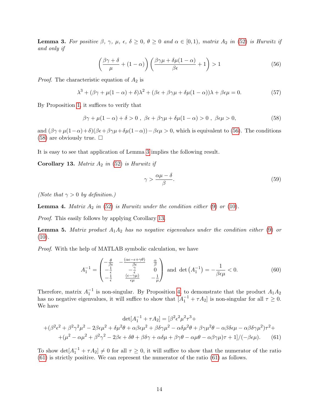<span id="page-14-2"></span>**Lemma 3.** For positive  $\beta$ ,  $\gamma$ ,  $\mu$ ,  $\epsilon$ ,  $\delta \geq 0$ ,  $\theta \geq 0$  and  $\alpha \in [0,1)$ , matrix  $A_2$  in [\(52\)](#page-13-1) is Hurwitz if and only if

$$
\left(\frac{\beta\gamma+\delta}{\mu}+(1-\alpha)\right)\left(\frac{\beta\gamma\mu+\delta\mu(1-\alpha)}{\beta\epsilon}+1\right)>1\tag{56}
$$

*Proof.* The characteristic equation of  $A_2$  is

$$
\lambda^3 + (\beta \gamma + \mu (1 - \alpha) + \delta)\lambda^2 + (\beta \epsilon + \beta \gamma \mu + \delta \mu (1 - \alpha))\lambda + \beta \epsilon \mu = 0.
$$
 (57)

By Proposition [1,](#page-4-2) it suffices to verify that

$$
\beta \gamma + \mu (1 - \alpha) + \delta > 0 , \ \beta \epsilon + \beta \gamma \mu + \delta \mu (1 - \alpha) > 0 , \ \beta \epsilon \mu > 0,
$$
 (58)

and  $(\beta \gamma + \mu(1-\alpha)+\delta)(\beta \epsilon + \beta \gamma \mu + \delta \mu(1-\alpha)) - \beta \epsilon \mu > 0$ , which is equivalent to [\(56\)](#page-14-0). The conditions [\(58\)](#page-14-1) are obviously true.  $\square$ 

It is easy to see that application of Lemma [3](#page-14-2) implies the following result.

<span id="page-14-3"></span>Corollary 13. Matrix  $A_2$  in [\(52\)](#page-13-1) is Hurwitz if

<span id="page-14-4"></span><span id="page-14-1"></span><span id="page-14-0"></span>
$$
\gamma > \frac{\alpha \mu - \delta}{\beta}.\tag{59}
$$

(Note that  $\gamma > 0$  by definition.)

<span id="page-14-5"></span>**Lemma 4.** Matrix  $A_2$  in [\(52\)](#page-13-1) is Hurwitz under the condition either [\(9\)](#page-8-2) or [\(10\)](#page-8-3).

Proof. This easily follows by applying Corollary [13.](#page-14-3)

<span id="page-14-6"></span>**Lemma 5.** Matrix product  $A_1A_2$  has no negative eigenvalues under the condition either [\(9\)](#page-8-2) or  $(10).$  $(10).$ 

Proof. With the help of MATLAB symbolic calculation, we have

$$
A_1^{-1} = \begin{pmatrix} -\frac{\theta}{\beta \epsilon} & -\frac{(\alpha \epsilon - \epsilon + \gamma \theta)}{\beta \epsilon} & \frac{\alpha}{\beta} \\ -\frac{1}{\epsilon} & -\frac{\gamma}{\epsilon} & 0 \\ -\frac{1}{\epsilon} & \frac{(\epsilon - \gamma \mu)}{\epsilon \mu} & -\frac{1}{\mu} \end{pmatrix} \text{ and } \det(A_1^{-1}) = -\frac{1}{\beta \epsilon \mu} < 0.
$$
 (60)

Therefore, matrix  $A_1^{-1}$  is non-singular. By Proposition [4,](#page-4-3) to demonstrate that the product  $A_1A_2$ has no negative eigenvalues, it will suffice to show that  $[A_1^{-1} + \tau A_2]$  is non-singular for all  $\tau \geq 0$ . We have

$$
\det[A_1^{-1} + \tau A_2] = [\beta^2 \epsilon^2 \mu^2 \tau^3 +
$$
  
+
$$
(\beta^2 \epsilon^2 + \beta^2 \gamma^2 \mu^2 - 2\beta \epsilon \mu^2 + \delta \mu^2 \theta + \alpha \beta \epsilon \mu^2 + \beta \delta \gamma \mu^2 - \alpha \delta \mu^2 \theta + \beta \gamma \mu^2 \theta - \alpha \beta \delta \epsilon \mu - \alpha \beta \delta \gamma \mu^2) \tau^2 +
$$
  
+
$$
(\mu^2 - \alpha \mu^2 + \beta^2 \gamma^2 - 2\beta \epsilon + \delta \theta + \beta \delta \gamma + \alpha \delta \mu + \beta \gamma \theta - \alpha \mu \theta - \alpha \beta \gamma \mu) \tau + 1]/(-\beta \epsilon \mu).
$$
 (61)

To show  $\det[A_1^{-1} + \tau A_2] \neq 0$  for all  $\tau \geq 0$ , it will suffice to show that the numerator of the ratio [\(61\)](#page-14-4) is strictly positive. We can represent the numerator of the ratio [\(61\)](#page-14-4) as follows.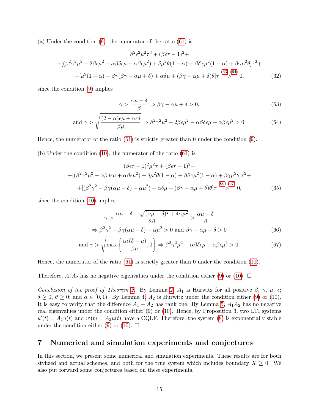(a) Under the condition [\(9\)](#page-8-2), the numerator of the ratio [\(61\)](#page-14-4) is

$$
\beta^2 \epsilon^2 \mu^2 \tau^3 + (\beta \epsilon \tau - 1)^2 +
$$
  
+
$$
[(\beta^2 \gamma^2 \mu^2 - 2\beta \epsilon \mu^2 - \alpha \beta \delta \epsilon \mu + \alpha \beta \epsilon \mu^2) + \delta \mu^2 \theta (1 - \alpha) + \beta \delta \gamma \mu^2 (1 - \alpha) + \beta \gamma \mu^2 \theta ] \tau^2 +
$$
  
+
$$
[\mu^2 (1 - \alpha) + \beta \gamma (\beta \gamma - \alpha \mu + \delta) + \alpha \delta \mu + (\beta \gamma - \alpha \mu + \delta) \theta ] \tau \stackrel{(63)-(64)}{>} 0, \tag{62}
$$

since the condition [\(9\)](#page-8-2) implies

<span id="page-15-2"></span><span id="page-15-1"></span>
$$
\gamma > \frac{\alpha \mu - \delta}{\beta} \Rightarrow \beta \gamma - \alpha \mu + \delta > 0,\tag{63}
$$

and 
$$
\gamma > \sqrt{\frac{(2-\alpha)\epsilon\mu + \alpha\epsilon\delta}{\beta\mu}} \Rightarrow \beta^2\gamma^2\mu^2 - 2\beta\epsilon\mu^2 - \alpha\beta\delta\epsilon\mu + \alpha\beta\epsilon\mu^2 > 0.
$$
 (64)

Hence, the numerator of the ratio [\(61\)](#page-14-4) is strictly greater than 0 under the condition [\(9\)](#page-8-2).

(b) Under the condition [\(10\)](#page-8-3), the numerator of the ratio [\(61\)](#page-14-4) is

$$
(\beta \epsilon \tau - 1)^2 \mu^2 \tau + (\beta \epsilon \tau - 1)^2 +
$$
  
+
$$
[(\beta^2 \gamma^2 \mu^2 - \alpha \beta \delta \epsilon \mu + \alpha \beta \epsilon \mu^2) + \delta \mu^2 \theta (1 - \alpha) + \beta \delta \gamma \mu^2 (1 - \alpha) + \beta \gamma \mu^2 \theta ] \tau^2 +
$$
  
+
$$
[(\beta^2 \gamma^2 - \beta \gamma (\alpha \mu - \delta) - \alpha \mu^2) + \alpha \delta \mu + (\beta \gamma - \alpha \mu + \delta) \theta ] \tau \stackrel{(66)-(67)}{>} 0,
$$
 (65)

since the condition [\(10\)](#page-8-3) implies

<span id="page-15-4"></span><span id="page-15-3"></span>
$$
\gamma > \frac{\alpha \mu - \delta + \sqrt{(\alpha \mu - \delta)^2 + 4\alpha \mu^2}}{2\beta} > \frac{\alpha \mu - \delta}{\beta}
$$
  

$$
\Rightarrow \beta^2 \gamma^2 - \beta \gamma (\alpha \mu - \delta) - \alpha \mu^2 > 0 \text{ and } \beta \gamma - \alpha \mu + \delta > 0
$$
(66)

and 
$$
\gamma > \sqrt{\max \left\{ \frac{\alpha \epsilon (\delta - \mu)}{\beta \mu}, 0 \right\}} \Rightarrow \beta^2 \gamma^2 \mu^2 - \alpha \beta \delta \epsilon \mu + \alpha \beta \epsilon \mu^2 > 0.
$$
 (67)

Hence, the numerator of the ratio [\(61\)](#page-14-4) is strictly greater than 0 under the condition [\(10\)](#page-8-3).

Therefore,  $A_1A_2$  has no negative eigenvalues under the condition either [\(9\)](#page-8-2) or [\(10\)](#page-8-3).  $\Box$ 

Conclusion of the proof of Theorem [2](#page-8-0). By Lemma [2,](#page-13-4)  $A_1$  is Hurwitz for all positive  $\beta$ ,  $\gamma$ ,  $\mu$ ,  $\epsilon$ ;  $\delta \geq 0$ ,  $\theta \geq 0$ ; and  $\alpha \in [0,1)$ . By Lemma [4,](#page-14-5)  $A_2$  is Hurwitz under the condition either [\(9\)](#page-8-2) or [\(10\)](#page-8-3). It is easy to verify that the difference  $A_1 - A_2$  has rank one. By Lemma [5,](#page-14-6)  $A_1A_2$  has no negative real eigenvalues under the condition either [\(9\)](#page-8-2) or [\(10\)](#page-8-3). Hence, by Proposition [3,](#page-4-4) two LTI systems  $u'(t) = A_1u(t)$  and  $u'(t) = A_2u(t)$  have a CQLF. Therefore, the system [\(8\)](#page-7-1) is exponentially stable under the condition either [\(9\)](#page-8-2) or [\(10\)](#page-8-3).  $\Box$ 

# <span id="page-15-0"></span>7 Numerical and simulation experiments and conjectures

In this section, we present some numerical and simulation experiments. These results are for both stylized and actual schemes, and both for the true system which includes boundary  $X \geq 0$ . We also put forward some conjectures based on these experiments.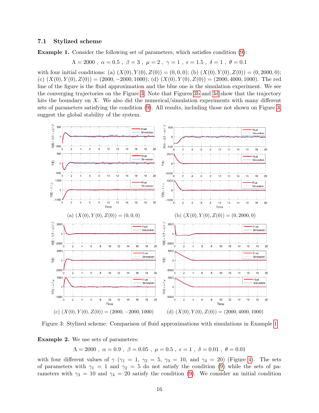#### 7.1 Stylized scheme

<span id="page-16-1"></span>Example 1. Consider the following set of parameters, which satisfies condition [\(9\)](#page-8-2):

$$
\Lambda = 2000
$$
,  $\alpha = 0.5$ ,  $\beta = 3$ ,  $\mu = 2$ ,  $\gamma = 1$ ,  $\epsilon = 1.5$ ,  $\delta = 1$ ,  $\theta = 0.1$ 

with four initial conditions: (a)  $(X(0), Y(0), Z(0)) = (0, 0, 0)$ ; (b)  $(X(0), Y(0), Z(0)) = (0, 2000, 0)$ ; (c)  $(X(0), Y(0), Z(0)) = (2000, -2000, 1000)$ ; (d)  $(X(0), Y(0), Z(0)) = (2000, 4000, 1000)$ . The red line of the figure is the fluid approximation and the blue one is the simulation experiment. We see the converging trajectories on the Figure [3.](#page-16-0) Note that Figures [3b](#page-16-0) and [3d](#page-16-0) show that the trajectory hits the boundary on X. We also did the numerical/simulation experiments with many different sets of parameters satisfying the condition [\(9\)](#page-8-2). All results, including those not shown on Figure [3,](#page-16-0) suggest the global stability of the system.

<span id="page-16-0"></span>

Figure 3: Stylized scheme: Comparison of fluid approximations with simulations in Example [1](#page-16-1)

<span id="page-16-2"></span>Example 2. We use sets of parameters:

 $\Lambda = 2000$ ,  $\alpha = 0.9$ ,  $\beta = 0.05$ ,  $\mu = 0.5$ ,  $\epsilon = 1$ ,  $\delta = 0.01$ ,  $\theta = 0.01$ 

with four different values of  $\gamma$  ( $\gamma_1 = 1$ ,  $\gamma_2 = 5$ ,  $\gamma_3 = 10$ , and  $\gamma_4 = 20$ ) (Figure [4\)](#page-17-1). The sets of parameters with  $\gamma_1 = 1$  and  $\gamma_2 = 5$  do not satisfy the condition [\(9\)](#page-8-2) while the sets of parameters with  $\gamma_3 = 10$  and  $\gamma_4 = 20$  satisfy the condition [\(9\)](#page-8-2). We consider an initial condition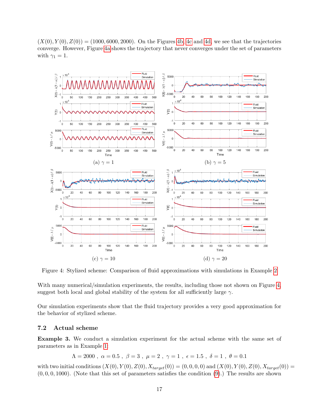$(X(0), Y(0), Z(0)) = (1000, 6000, 2000)$ . On the Figures [4b, 4c](#page-17-1) and [4d,](#page-17-1) we see that the trajectories converge. However, Figure [4a](#page-17-1) shows the trajectory that never converges under the set of parameters with  $\gamma_1 = 1$ .

<span id="page-17-1"></span>

Figure 4: Stylized scheme: Comparison of fluid approximations with simulations in Example [2](#page-16-2)

With many numerical/simulation experiments, the results, including those not shown on Figure [4,](#page-17-1) suggest both local and global stability of the system for all sufficiently large  $\gamma$ .

Our simulation experiments show that the fluid trajectory provides a very good approximation for the behavior of stylized scheme.

## <span id="page-17-0"></span>7.2 Actual scheme

Example 3. We conduct a simulation experiment for the actual scheme with the same set of parameters as in Example [1:](#page-16-1)

$$
\Lambda = 2000
$$
,  $\alpha = 0.5$ ,  $\beta = 3$ ,  $\mu = 2$ ,  $\gamma = 1$ ,  $\epsilon = 1.5$ ,  $\delta = 1$ ,  $\theta = 0.1$ 

with two initial conditions  $(X(0), Y(0), Z(0), X_{target}(0)) = (0, 0, 0, 0)$  and  $(X(0), Y(0), Z(0), X_{target}(0)) =$  $(0, 0, 0, 1000)$ . (Note that this set of parameters satisfies the condition  $(9)$ .) The results are shown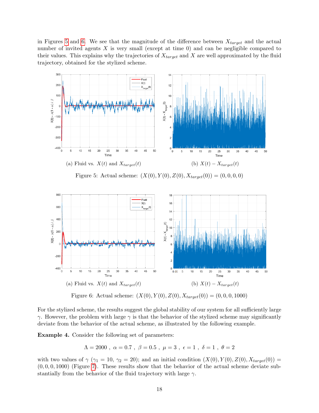in Figures [5](#page-18-0) and [6.](#page-18-1) We see that the magnitude of the difference between  $X_{target}$  and the actual number of invited agents  $X$  is very small (except at time 0) and can be negligible compared to their values. This explains why the trajectories of  $X_{target}$  and X are well approximated by the fluid trajectory, obtained for the stylized scheme.

<span id="page-18-0"></span>

Figure 5: Actual scheme:  $(X(0), Y(0), Z(0), X_{target}(0)) = (0, 0, 0, 0)$ 

<span id="page-18-1"></span>

Figure 6: Actual scheme:  $(X(0), Y(0), Z(0), X_{target}(0)) = (0, 0, 0, 1000)$ 

For the stylized scheme, the results suggest the global stability of our system for all sufficiently large  $\gamma$ . However, the problem with large  $\gamma$  is that the behavior of the stylized scheme may significantly deviate from the behavior of the actual scheme, as illustrated by the following example.

Example 4. Consider the following set of parameters:

$$
\Lambda = 2000
$$
,  $\alpha = 0.7$ ,  $\beta = 0.5$ ,  $\mu = 3$ ,  $\epsilon = 1$ ,  $\delta = 1$ ,  $\theta = 2$ 

with two values of  $\gamma$  ( $\gamma_1 = 10$ ,  $\gamma_2 = 20$ ); and an initial condition  $(X(0), Y(0), Z(0), X_{target}(0)) =$  $(0, 0, 0, 1000)$  (Figure [7\)](#page-19-0). These results show that the behavior of the actual scheme deviate substantially from the behavior of the fluid trajectory with large  $\gamma$ .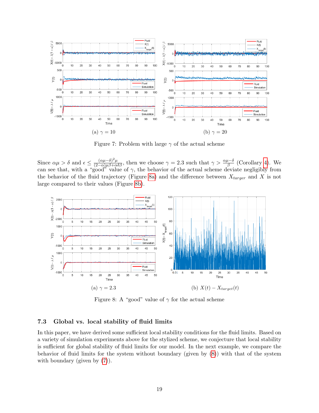<span id="page-19-0"></span>

Figure 7: Problem with large  $\gamma$  of the actual scheme

Since  $\alpha\mu > \delta$  and  $\epsilon \leq \frac{(\alpha\mu-\delta)^2\mu}{(2-\alpha)\mu\beta+\alpha\delta\beta}$ , then we choose  $\gamma = 2.3$  such that  $\gamma > \frac{\alpha\mu-\delta}{\beta}$  (Corollary [4\)](#page-8-5). We can see that, with a "good" value of  $\gamma$ , the behavior of the actual scheme deviate negligibly from the behavior of the fluid trajectory (Figure [8a\)](#page-19-1) and the difference between  $X_{target}$  and X is not large compared to their values (Figure [8b\)](#page-19-1).

<span id="page-19-1"></span>

Figure 8: A "good" value of  $\gamma$  for the actual scheme

## 7.3 Global vs. local stability of fluid limits

In this paper, we have derived some sufficient local stability conditions for the fluid limits. Based on a variety of simulation experiments above for the stylized scheme, we conjecture that local stability is sufficient for global stability of fluid limits for our model. In the next example, we compare the behavior of fluid limits for the system without boundary (given by [\(8\)](#page-7-1)) with that of the system with boundary (given by  $(7)$ ).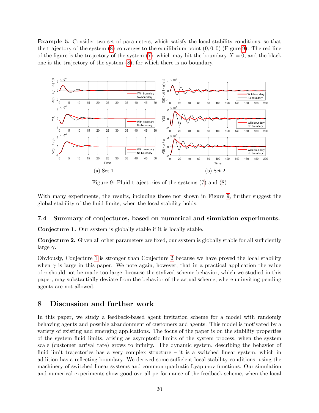Example 5. Consider two set of parameters, which satisfy the local stability conditions, so that the trajectory of the system  $(8)$  converges to the equilibrium point  $(0, 0, 0)$  (Figure [9\)](#page-20-1). The red line of the figure is the trajectory of the system [\(7\)](#page-7-3), which may hit the boundary  $X = 0$ , and the black one is the trajectory of the system [\(8\)](#page-7-1), for which there is no boundary.

<span id="page-20-1"></span>

Figure 9: Fluid trajectories of the systems [\(7\)](#page-7-3) and [\(8\)](#page-7-1)

With many experiments, the results, including those not shown in Figure [9,](#page-20-1) further suggest the global stability of the fluid limits, when the local stability holds.

## 7.4 Summary of conjectures, based on numerical and simulation experiments.

<span id="page-20-2"></span>Conjecture 1. Our system is globally stable if it is locally stable.

<span id="page-20-3"></span>Conjecture 2. Given all other parameters are fixed, our system is globally stable for all sufficiently large  $\gamma$ .

Obviously, Conjecture [1](#page-20-2) is stronger than Conjecture [2](#page-20-3) because we have proved the local stability when  $\gamma$  is large in this paper. We note again, however, that in a practical application the value of  $\gamma$  should not be made too large, because the stylized scheme behavior, which we studied in this paper, may substantially deviate from the behavior of the actual scheme, where uninviting pending agents are not allowed.

# <span id="page-20-0"></span>8 Discussion and further work

In this paper, we study a feedback-based agent invitation scheme for a model with randomly behaving agents and possible abandonment of customers and agents. This model is motivated by a variety of existing and emerging applications. The focus of the paper is on the stability properties of the system fluid limits, arising as asymptotic limits of the system process, when the system scale (customer arrival rate) grows to infinity. The dynamic system, describing the behavior of fluid limit trajectories has a very complex structure – it is a switched linear system, which in addition has a reflecting boundary. We derived some sufficient local stability conditions, using the machinery of switched linear systems and common quadratic Lyapunov functions. Our simulation and numerical experiments show good overall performance of the feedback scheme, when the local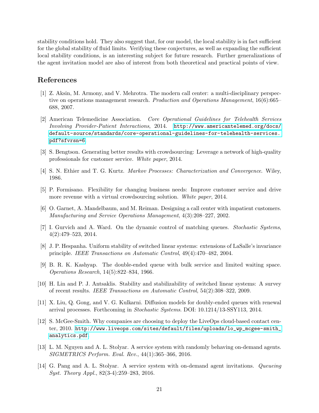stability conditions hold. They also suggest that, for our model, the local stability is in fact sufficient for the global stability of fluid limits. Verifying these conjectures, as well as expanding the sufficient local stability conditions, is an interesting subject for future research. Further generalizations of the agent invitation model are also of interest from both theoretical and practical points of view.

# References

- <span id="page-21-4"></span>[1] Z. Aksin, M. Armony, and V. Mehrotra. The modern call center: a multi-disciplinary perspective on operations management research. Production and Operations Management, 16(6):665– 688, 2007.
- <span id="page-21-6"></span>[2] American Telemedicine Association. Core Operational Guidelines for Telehealth Services Involving Provider-Patient Interactions, 2014. [http://www.americantelemed.org/docs/](http://www.americantelemed.org/docs/default-source/standards/core-operational-guidelines-for-telehealth-services.pdf?sfvrsn=6) [default-source/standards/core-operational-guidelines-for-telehealth-services.](http://www.americantelemed.org/docs/default-source/standards/core-operational-guidelines-for-telehealth-services.pdf?sfvrsn=6) [pdf?sfvrsn=6](http://www.americantelemed.org/docs/default-source/standards/core-operational-guidelines-for-telehealth-services.pdf?sfvrsn=6).
- <span id="page-21-8"></span>[3] S. Bengtson. Generating better results with crowdsourcing: Leverage a network of high-quality professionals for customer service. White paper, 2014.
- <span id="page-21-13"></span>[4] S. N. Ethier and T. G. Kurtz. Markov Processes: Characterization and Convergence. Wiley, 1986.
- <span id="page-21-7"></span>[5] P. Formisano. Flexibility for changing business needs: Improve customer service and drive more revenue with a virtual crowdsourcing solution. White paper, 2014.
- <span id="page-21-2"></span>[6] O. Garnet, A. Mandelbaum, and M. Reiman. Designing a call center with impatient customers. Manufacturing and Service Operations Management, 4(3):208–227, 2002.
- <span id="page-21-11"></span>[7] I. Gurvich and A. Ward. On the dynamic control of matching queues. Stochastic Systems, 4(2):479–523, 2014.
- <span id="page-21-12"></span>[8] J. P. Hespanha. Uniform stability of switched linear systems: extensions of LaSalle's invariance principle. IEEE Transactions on Automatic Control, 49(4):470–482, 2004.
- <span id="page-21-9"></span>[9] B. R. K. Kashyap. The double-ended queue with bulk service and limited waiting space. Operations Research, 14(5):822–834, 1966.
- <span id="page-21-3"></span>[10] H. Lin and P. J. Antsaklis. Stability and stabilizability of switched linear systems: A survey of recent results. IEEE Transactions on Automatic Control, 54(2):308–322, 2009.
- <span id="page-21-10"></span>[11] X. Liu, Q. Gong, and V. G. Kulkarni. Diffusion models for doubly-ended queues with renewal arrival processes. Forthcoming in Stochastic Systems. DOI: 10.1214/13-SSY113, 2014.
- <span id="page-21-5"></span>[12] S. McGee-Smith. Why companies are choosing to deploy the LiveOps cloud-based contact center, 2010. [http://www.liveops.com/sites/default/files/uploads/lo\\_wp\\_mcgee-smith\\_](http://www.liveops.com/sites/default/files/uploads/lo_wp_mcgee-smith_analytics.pdf) [analytics.pdf](http://www.liveops.com/sites/default/files/uploads/lo_wp_mcgee-smith_analytics.pdf).
- <span id="page-21-0"></span>[13] L. M. Nguyen and A. L. Stolyar. A service system with randomly behaving on-demand agents. SIGMETRICS Perform. Eval. Rev., 44(1):365–366, 2016.
- <span id="page-21-1"></span>[14] G. Pang and A. L. Stolyar. A service system with on-demand agent invitations. Queueing Syst. Theory Appl., 82(3-4):259–283, 2016.